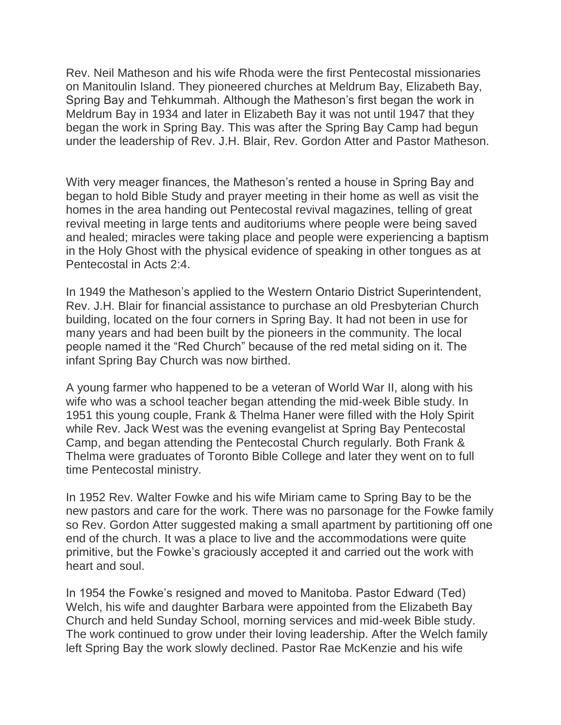Rev. Neil Matheson and his wife Rhoda were the first Pentecostal missionaries on Manitoulin Island. They pioneered churches at Meldrum Bay, Elizabeth Bay, Spring Bay and Tehkummah. Although the Matheson's first began the work in Meldrum Bay in 1934 and later in Elizabeth Bay it was not until 1947 that they began the work in Spring Bay. This was after the Spring Bay Camp had begun under the leadership of Rev. J.H. Blair, Rev. Gordon Atter and Pastor Matheson.

With very meager finances, the Matheson's rented a house in Spring Bay and began to hold Bible Study and prayer meeting in their home as well as visit the homes in the area handing out Pentecostal revival magazines, telling of great revival meeting in large tents and auditoriums where people were being saved and healed; miracles were taking place and people were experiencing a baptism in the Holy Ghost with the physical evidence of speaking in other tongues as at Pentecostal in Acts 2:4.

In 1949 the Matheson's applied to the Western Ontario District Superintendent, Rev. J.H. Blair for financial assistance to purchase an old Presbyterian Church building, located on the four corners in Spring Bay. It had not been in use for many years and had been built by the pioneers in the community. The local people named it the "Red Church" because of the red metal siding on it. The infant Spring Bay Church was now birthed.

A young farmer who happened to be a veteran of World War II, along with his wife who was a school teacher began attending the mid-week Bible study. In 1951 this young couple, Frank & Thelma Haner were filled with the Holy Spirit while Rev. Jack West was the evening evangelist at Spring Bay Pentecostal Camp, and began attending the Pentecostal Church regularly. Both Frank & Thelma were graduates of Toronto Bible College and later they went on to full time Pentecostal ministry.

In 1952 Rev. Walter Fowke and his wife Miriam came to Spring Bay to be the new pastors and care for the work. There was no parsonage for the Fowke family so Rev. Gordon Atter suggested making a small apartment by partitioning off one end of the church. It was a place to live and the accommodations were quite primitive, but the Fowke's graciously accepted it and carried out the work with heart and soul.

In 1954 the Fowke's resigned and moved to Manitoba. Pastor Edward (Ted) Welch, his wife and daughter Barbara were appointed from the Elizabeth Bay Church and held Sunday School, morning services and mid-week Bible study. The work continued to grow under their loving leadership. After the Welch family left Spring Bay the work slowly declined. Pastor Rae McKenzie and his wife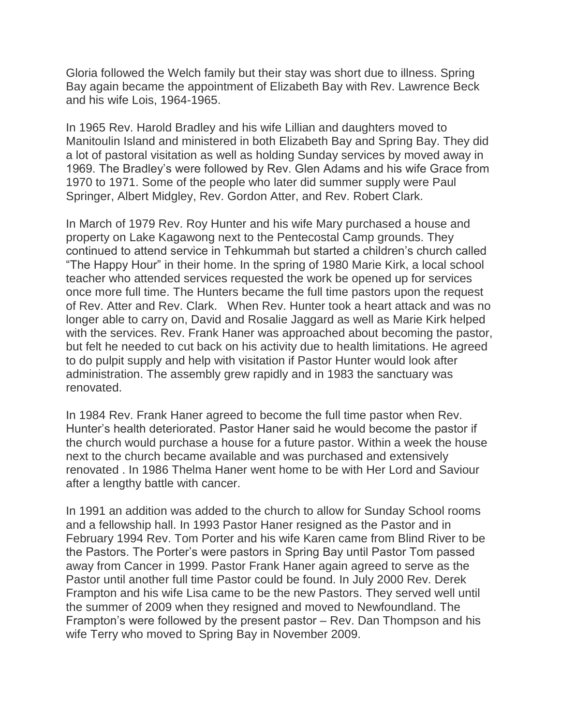Gloria followed the Welch family but their stay was short due to illness. Spring Bay again became the appointment of Elizabeth Bay with Rev. Lawrence Beck and his wife Lois, 1964-1965.

In 1965 Rev. Harold Bradley and his wife Lillian and daughters moved to Manitoulin Island and ministered in both Elizabeth Bay and Spring Bay. They did a lot of pastoral visitation as well as holding Sunday services by moved away in 1969. The Bradley's were followed by Rev. Glen Adams and his wife Grace from 1970 to 1971. Some of the people who later did summer supply were Paul Springer, Albert Midgley, Rev. Gordon Atter, and Rev. Robert Clark.

In March of 1979 Rev. Roy Hunter and his wife Mary purchased a house and property on Lake Kagawong next to the Pentecostal Camp grounds. They continued to attend service in Tehkummah but started a children's church called "The Happy Hour" in their home. In the spring of 1980 Marie Kirk, a local school teacher who attended services requested the work be opened up for services once more full time. The Hunters became the full time pastors upon the request of Rev. Atter and Rev. Clark. When Rev. Hunter took a heart attack and was no longer able to carry on, David and Rosalie Jaggard as well as Marie Kirk helped with the services. Rev. Frank Haner was approached about becoming the pastor, but felt he needed to cut back on his activity due to health limitations. He agreed to do pulpit supply and help with visitation if Pastor Hunter would look after administration. The assembly grew rapidly and in 1983 the sanctuary was renovated.

In 1984 Rev. Frank Haner agreed to become the full time pastor when Rev. Hunter's health deteriorated. Pastor Haner said he would become the pastor if the church would purchase a house for a future pastor. Within a week the house next to the church became available and was purchased and extensively renovated . In 1986 Thelma Haner went home to be with Her Lord and Saviour after a lengthy battle with cancer.

In 1991 an addition was added to the church to allow for Sunday School rooms and a fellowship hall. In 1993 Pastor Haner resigned as the Pastor and in February 1994 Rev. Tom Porter and his wife Karen came from Blind River to be the Pastors. The Porter's were pastors in Spring Bay until Pastor Tom passed away from Cancer in 1999. Pastor Frank Haner again agreed to serve as the Pastor until another full time Pastor could be found. In July 2000 Rev. Derek Frampton and his wife Lisa came to be the new Pastors. They served well until the summer of 2009 when they resigned and moved to Newfoundland. The Frampton's were followed by the present pastor – Rev. Dan Thompson and his wife Terry who moved to Spring Bay in November 2009.